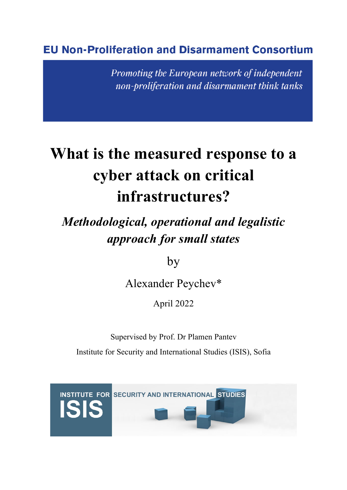### **EU Non-Proliferation and Disarmament Consortium**

Promoting the European network of independent non-proliferation and disarmament think tanks

# **What is the measured response to a cyber attack on critical infrastructures?**

## *Methodological, operational and legalistic approach for small states*

by

Alexander Peychev\*

April 2022

Supervised by Prof. Dr Plamen Pantev Institute for Security and International Studies (ISIS), Sofia

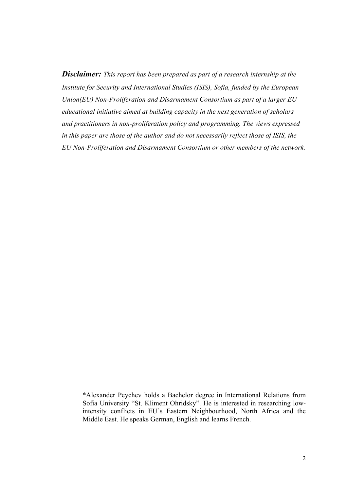*Disclaimer: This report has been prepared as part of a research internship at the Institute for Security and International Studies (ISIS), Sofia, funded by the European Union(EU) Non-Proliferation and Disarmament Consortium as part of a larger EU educational initiative aimed at building capacity in the next generation of scholars and practitioners in non-proliferation policy and programming. The views expressed in this paper are those of the author and do not necessarily reflect those of ISIS, the EU Non-Proliferation and Disarmament Consortium or other members of the network.*

<sup>\*</sup>Alexander Peychev holds a Bachelor degree in International Relations from Sofia University "St. Kliment Ohridsky". He is interested in researching lowintensity conflicts in EU's Eastern Neighbourhood, North Africa and the Middle East. He speaks German, English and learns French.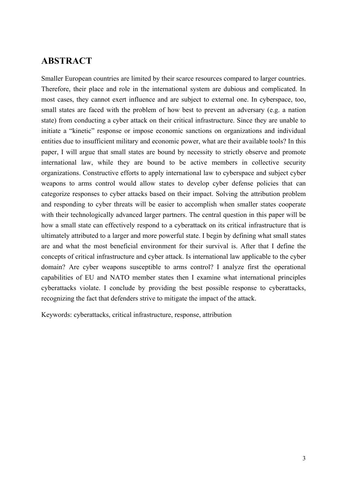#### **ABSTRACT**

Smaller European countries are limited by their scarce resources compared to larger countries. Therefore, their place and role in the international system are dubious and complicated. In most cases, they cannot exert influence and are subject to external one. In cyberspace, too, small states are faced with the problem of how best to prevent an adversary (e.g. a nation state) from conducting a cyber attack on their critical infrastructure. Since they are unable to initiate a "kinetic" response or impose economic sanctions on organizations and individual entities due to insufficient military and economic power, what are their available tools? In this paper, I will argue that small states are bound by necessity to strictly observe and promote international law, while they are bound to be active members in collective security organizations. Constructive efforts to apply international law to cyberspace and subject cyber weapons to arms control would allow states to develop cyber defense policies that can categorize responses to cyber attacks based on their impact. Solving the attribution problem and responding to cyber threats will be easier to accomplish when smaller states cooperate with their technologically advanced larger partners. The central question in this paper will be how a small state can effectively respond to a cyberattack on its critical infrastructure that is ultimately attributed to a larger and more powerful state. I begin by defining what small states are and what the most beneficial environment for their survival is. After that I define the concepts of critical infrastructure and cyber attack. Is international law applicable to the cyber domain? Are cyber weapons susceptible to arms control? I analyze first the operational capabilities of EU and NATO member states then I examine what international principles cyberattacks violate. I conclude by providing the best possible response to cyberattacks, recognizing the fact that defenders strive to mitigate the impact of the attack.

Keywords: cyberattacks, critical infrastructure, response, attribution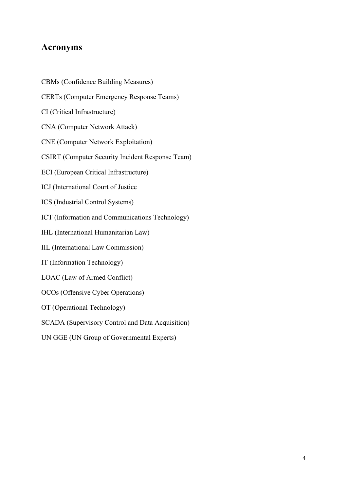#### **Acronyms**

CBMs (Confidence Building Measures) CERTs (Computer Emergency Response Teams) CI (Critical Infrastructure) CNA (Computer Network Attack) CNE (Computer Network Exploitation) CSIRT (Computer Security Incident Response Team) ECI (European Critical Infrastructure) ICJ (International Court of Justice ICS (Industrial Control Systems) ICT (Information and Communications Technology) IHL (International Humanitarian Law) IIL (International Law Commission) IT (Information Technology) LOAC (Law of Armed Conflict) OCOs (Offensive Cyber Operations) OT (Operational Technology) SCADA (Supervisory Control and Data Acquisition) UN GGE (UN Group of Governmental Experts)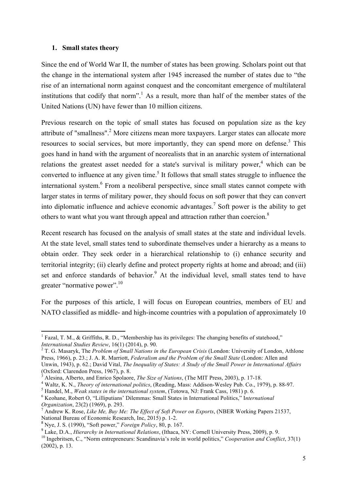#### **1. Small states theory**

Since the end of World War II, the number of states has been growing. Scholars point out that the change in the international system after 1945 increased the number of states due to "the rise of an international norm against conquest and the concomitant emergence of multilateral institutions that codify that norm".<sup>1</sup> As a result, more than half of the member states of the United Nations (UN) have fewer than 10 million citizens.

Previous research on the topic of small states has focused on population size as the key attribute of "smallness".<sup>2</sup> More citizens mean more taxpayers. Larger states can allocate more resources to social services, but more importantly, they can spend more on defense.<sup>3</sup> This goes hand in hand with the argument of neorealists that in an anarchic system of international relations the greatest asset needed for a state's survival is military power,<sup>4</sup> which can be converted to influence at any given time.<sup>5</sup> It follows that small states struggle to influence the international system.<sup>6</sup> From a neoliberal perspective, since small states cannot compete with larger states in terms of military power, they should focus on soft power that they can convert into diplomatic influence and achieve economic advantages. <sup>7</sup> Soft power is the ability to get others to want what you want through appeal and attraction rather than coercion.<sup>8</sup>

Recent research has focused on the analysis of small states at the state and individual levels. At the state level, small states tend to subordinate themselves under a hierarchy as a means to obtain order. They seek order in a hierarchical relationship to (i) enhance security and territorial integrity; (ii) clearly define and protect property rights at home and abroad; and (iii) set and enforce standards of behavior.<sup>9</sup> At the individual level, small states tend to have greater "normative power".<sup>10</sup>

For the purposes of this article, I will focus on European countries, members of EU and NATO classified as middle- and high-income countries with a population of approximately 10

<sup>&</sup>lt;sup>1</sup> Fazal, T. M., & Griffiths, R. D., "Membership has its privileges: The changing benefits of statehood,"<br>*International Studies Review*, 16(1) (2014), p. 90.

<sup>&</sup>lt;sup>2</sup> T. G. Masaryk, The *Problem of Small Nations in the European Crisis (London: University of London, Athlone* Press, 1966), p. 23.; J. A. R. Marriott, *Federalism and the Problem of the Small State* (London: Allen and Unwin, 1943), p. 62.; David Vital, *The Inequality of States: A Study of the Small Power in International Affairs*

<sup>&</sup>lt;sup>3</sup> Alesina, Alberto, and Enrico Spolaore, *The Size of Nations*, (The MIT Press, 2003), p. 17-18.<br><sup>4</sup> Waltz, K. N., *Theory of international politics*, (Reading, Mass: Addison-Wesley Pub. Co., 1979), p. 88-97.<br><sup>5</sup> Handel

Andrew K. Rose, *Like Me, Buy Me: The Effect of Soft Power on Exports*, (NBER Working Papers 21537, National Bureau of Economic Research, Inc, 2015) p. 1-2. <sup>8</sup> Nye, J. S. (1990), "Soft power," *Foreign Policy*, 80, p. 167.

<sup>9</sup> Lake, D.A., *Hierarchy in International Relations*, (Ithaca, NY: Cornell University Press, 2009), p. 9.

<sup>&</sup>lt;sup>10</sup> Ingebritsen, C., "Norm entrepreneurs: Scandinavia's role in world politics," *Cooperation and Conflict*, 37(1) (2002), p. 13.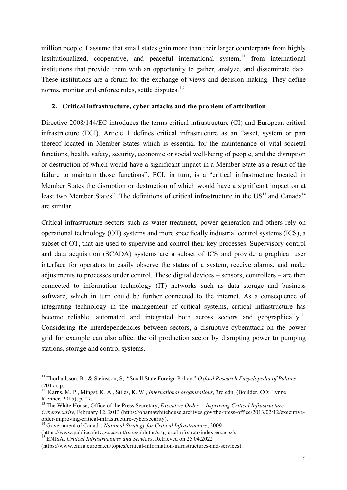million people. I assume that small states gain more than their larger counterparts from highly institutionalized, cooperative, and peaceful international system,  $11$  from international institutions that provide them with an opportunity to gather, analyze, and disseminate data. These institutions are a forum for the exchange of views and decision-making. They define norms, monitor and enforce rules, settle disputes.<sup>12</sup>

#### **2. Critical infrastructure, cyber attacks and the problem of attribution**

Directive 2008/144/EC introduces the terms critical infrastructure (CI) and European critical infrastructure (ECI). Article 1 defines critical infrastructure as an "asset, system or part thereof located in Member States which is essential for the maintenance of vital societal functions, health, safety, security, economic or social well-being of people, and the disruption or destruction of which would have a significant impact in a Member State as a result of the failure to maintain those functions". ECI, in turn, is a "critical infrastructure located in Member States the disruption or destruction of which would have a significant impact on at least two Member States". The definitions of critical infrastructure in the US<sup>13</sup> and Canada<sup>14</sup> are similar.

Critical infrastructure sectors such as water treatment, power generation and others rely on operational technology (OT) systems and more specifically industrial control systems (ICS), a subset of OT, that are used to supervise and control their key processes. Supervisory control and data acquisition (SCADA) systems are a subset of ICS and provide a graphical user interface for operators to easily observe the status of a system, receive alarms, and make adjustments to processes under control. These digital devices – sensors, controllers – are then connected to information technology (IT) networks such as data storage and business software, which in turn could be further connected to the internet. As a consequence of integrating technology in the management of critical systems, critical infrastructure has become reliable, automated and integrated both across sectors and geographically.<sup>15</sup> Considering the interdependencies between sectors, a disruptive cyberattack on the power grid for example can also affect the oil production sector by disrupting power to pumping stations, storage and control systems.

 

<sup>11</sup> Thorhallsson, B., & Steinsson, S, "Small State Foreign Policy," *Oxford Research Encyclopedia of Politics* (2017), p. 11. <sup>12</sup> Karns, M. P., Mingst, K. A., Stiles, K. W., *International organizations*, 3rd edn, (Boulder, CO: Lynne

Rienner, 2015), p. 27.<br><sup>13</sup> The White House, Office of the Press Secretary, *Executive Order -- Improving Critical Infrastructure* 

*Cybersecurity, February 12, 2013 (https://obamawhitehouse.archives.gov/the-press-office/2013/02/12/executive-order-improving-critical-infrastructure-cybersecurity).* 

<sup>&</sup>lt;sup>14</sup> Government of Canada, *National Strategy for Critical Infrastructure*, 2009 (https://www.publicsafety.gc.ca/cnt/rsrcs/pblctns/srtg-crtcl-nfrstrctr/index-en.aspx).

<sup>&</sup>lt;sup>15</sup> ENISA, Critical Infrastructures and Services, Retrieved on 25.04.2022

<sup>(</sup>https://www.enisa.europa.eu/topics/critical-information-infrastructures-and-services).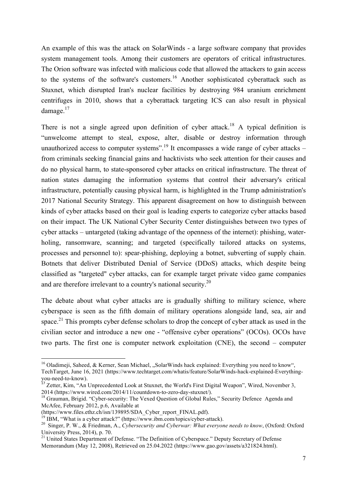An example of this was the attack on SolarWinds - a large software company that provides system management tools. Among their customers are operators of critical infrastructures. The Orion software was infected with malicious code that allowed the attackers to gain access to the systems of the software's customers.<sup>16</sup> Another sophisticated cyberattack such as Stuxnet, which disrupted Iran's nuclear facilities by destroying 984 uranium enrichment centrifuges in 2010, shows that a cyberattack targeting ICS can also result in physical damage.<sup>17</sup>

There is not a single agreed upon definition of cyber attack.<sup>18</sup> A typical definition is "unwelcome attempt to steal, expose, alter, disable or destroy information through unauthorized access to computer systems".<sup>19</sup> It encompasses a wide range of cyber attacks – from criminals seeking financial gains and hacktivists who seek attention for their causes and do no physical harm, to state-sponsored cyber attacks on critical infrastructure. The threat of nation states damaging the information systems that control their adversary's critical infrastructure, potentially causing physical harm, is highlighted in the Trump administration's 2017 National Security Strategy. This apparent disagreement on how to distinguish between kinds of cyber attacks based on their goal is leading experts to categorize cyber attacks based on their impact. The UK National Cyber Security Center distinguishes between two types of cyber attacks – untargeted (taking advantage of the openness of the internet): phishing, waterholing, ransomware, scanning; and targeted (specifically tailored attacks on systems, processes and personnel to): spear-phishing, deploying a botnet, subverting of supply chain. Botnets that deliver Distributed Denial of Service (DDoS) attacks, which despite being classified as "targeted" cyber attacks, can for example target private video game companies and are therefore irrelevant to a country's national security.<sup>20</sup>

The debate about what cyber attacks are is gradually shifting to military science, where cyberspace is seen as the fifth domain of military operations alongside land, sea, air and space.<sup>21</sup> This prompts cyber defense scholars to drop the concept of cyber attack as used in the civilian sector and introduce a new one - "offensive cyber operations" (OCOs). OCOs have two parts. The first one is computer network exploitation (CNE), the second – computer

<sup>&</sup>lt;sup>16</sup> Oladimeji, Saheed, & Kerner, Sean Michael, "SolarWinds hack explained: Everything you need to know", TechTarget, June 16, 2021 (https://www.techtarget.com/whatis/feature/SolarWinds-hack-explained-Everythingyou-need-to-know). <sup>17</sup> Zetter, Kim, "An Unprecedented Look at Stuxnet, the World's First Digital Weapon", Wired, November 3,

<sup>2014 (</sup>https://www.wired.com/2014/11/countdown-to-zero-day-stuxnet/).<br><sup>18</sup> Grauman, Brigid. "Cyber-security: The Vexed Question of Global Rules," Security Defence Agenda and

McAfee, February 2012, p.6, Available at (https://www.files.ethz.ch/isn/139895/SDA Cyber report FINAL.pdf).

<sup>&</sup>lt;sup>19</sup> IBM, "What is a cyber attack?" (https://www.ibm.com/topics/cyber-attack).<br><sup>20</sup> Singer, P. W., & Friedman, A., *Cybersecurity and Cyberwar: What everyone needs to know*, (Oxford: Oxford University Press, 2014), p. 70.

<sup>&</sup>lt;sup>21</sup> United States Department of Defense. "The Definition of Cyberspace." Deputy Secretary of Defense Memorandum (May 12, 2008), Retrieved on 25.04.2022 (https://www.gao.gov/assets/a321824.html).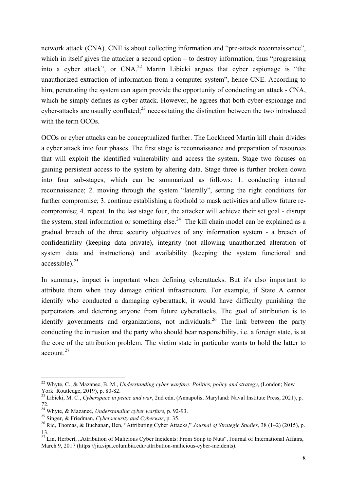network attack (CNA). CNE is about collecting information and "pre-attack reconnaissance", which in itself gives the attacker a second option – to destroy information, thus "progressing into a cyber attack", or  $CNA<sup>22</sup>$  Martin Libicki argues that cyber espionage is "the unauthorized extraction of information from a computer system", hence CNE. According to him, penetrating the system can again provide the opportunity of conducting an attack - CNA, which he simply defines as cyber attack. However, he agrees that both cyber-espionage and cyber-attacks are usually conflated; $^{23}$  necessitating the distinction between the two introduced with the term OCOs.

OCOs or cyber attacks can be conceptualized further. The Lockheed Martin kill chain divides a cyber attack into four phases. The first stage is reconnaissance and preparation of resources that will exploit the identified vulnerability and access the system. Stage two focuses on gaining persistent access to the system by altering data. Stage three is further broken down into four sub-stages, which can be summarized as follows: 1. conducting internal reconnaissance; 2. moving through the system "laterally", setting the right conditions for further compromise; 3. continue establishing a foothold to mask activities and allow future recompromise; 4. repeat. In the last stage four, the attacker will achieve their set goal - disrupt the system, steal information or something else.<sup>24</sup> The kill chain model can be explained as a gradual breach of the three security objectives of any information system - a breach of confidentiality (keeping data private), integrity (not allowing unauthorized alteration of system data and instructions) and availability (keeping the system functional and accessible). $25$ 

In summary, impact is important when defining cyberattacks. But it's also important to attribute them when they damage critical infrastructure. For example, if State A cannot identify who conducted a damaging cyberattack, it would have difficulty punishing the perpetrators and deterring anyone from future cyberattacks. The goal of attribution is to identify governments and organizations, not individuals.<sup>26</sup> The link between the party conducting the intrusion and the party who should bear responsibility, i.e. a foreign state, is at the core of the attribution problem. The victim state in particular wants to hold the latter to account. 27

 

<sup>22</sup> Whyte, C., & Mazanec, B. M., *Understanding cyber warfare: Politics, policy and strategy*, (London; New York: Routledge, 2019), p. 80-82. 23 Libicki, M. C., *Cyberspace in peace and war*, 2nd edn, (Annapolis, Maryland: Naval Institute Press, 2021), p.

<sup>72.</sup>

<sup>24</sup> Whyte, & Mazanec, *Understanding cyber warfare,* p. 92-93.

<sup>25</sup> Singer, & Friedman, *Cybersecurity and Cyberwar*, p. 35.

<sup>26</sup> Rid, Thomas, & Buchanan, Ben, "Attributing Cyber Attacks," *Journal of Strategic Studies*, 38 (1–2) (2015), p.

<sup>&</sup>lt;sup>27</sup> Lin, Herbert, "Attribution of Malicious Cyber Incidents: From Soup to Nuts", Journal of International Affairs, March 9, 2017 (https://jia.sipa.columbia.edu/attribution-malicious-cyber-incidents).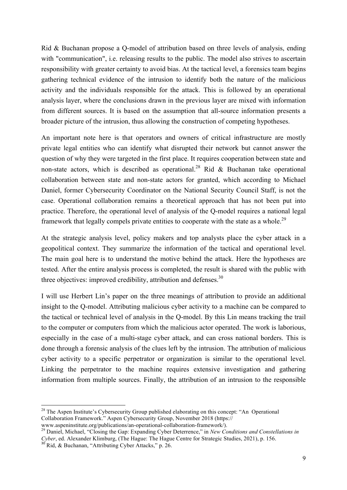Rid & Buchanan propose a Q-model of attribution based on three levels of analysis, ending with "communication", i.e. releasing results to the public. The model also strives to ascertain responsibility with greater certainty to avoid bias. At the tactical level, a forensics team begins gathering technical evidence of the intrusion to identify both the nature of the malicious activity and the individuals responsible for the attack. This is followed by an operational analysis layer, where the conclusions drawn in the previous layer are mixed with information from different sources. It is based on the assumption that all-source information presents a broader picture of the intrusion, thus allowing the construction of competing hypotheses.

An important note here is that operators and owners of critical infrastructure are mostly private legal entities who can identify what disrupted their network but cannot answer the question of why they were targeted in the first place. It requires cooperation between state and non-state actors, which is described as operational.<sup>28</sup> Rid & Buchanan take operational collaboration between state and non-state actors for granted, which according to Michael Daniel, former Cybersecurity Coordinator on the National Security Council Staff, is not the case. Operational collaboration remains a theoretical approach that has not been put into practice. Therefore, the operational level of analysis of the Q-model requires a national legal framework that legally compels private entities to cooperate with the state as a whole.<sup>29</sup>

At the strategic analysis level, policy makers and top analysts place the cyber attack in a geopolitical context. They summarize the information of the tactical and operational level. The main goal here is to understand the motive behind the attack. Here the hypotheses are tested. After the entire analysis process is completed, the result is shared with the public with three objectives: improved credibility, attribution and defenses.<sup>30</sup>

I will use Herbert Lin's paper on the three meanings of attribution to provide an additional insight to the Q-model. Attributing malicious cyber activity to a machine can be compared to the tactical or technical level of analysis in the Q-model. By this Lin means tracking the trail to the computer or computers from which the malicious actor operated. The work is laborious, especially in the case of a multi-stage cyber attack, and can cross national borders. This is done through a forensic analysis of the clues left by the intrusion. The attribution of malicious cyber activity to a specific perpetrator or organization is similar to the operational level. Linking the perpetrator to the machine requires extensive investigation and gathering information from multiple sources. Finally, the attribution of an intrusion to the responsible

 

<sup>&</sup>lt;sup>28</sup> The Aspen Institute's Cybersecurity Group published elaborating on this concept: "An Operational Collaboration Framework." Aspen Cybersecurity Group, November 2018 (https://<br>www.aspeninstitute.org/publications/an-operational-collaboration-framework/).

<sup>&</sup>lt;sup>29</sup> Daniel, Michael, "Closing the Gap: Expanding Cyber Deterrence," in *New Conditions and Constellations in Cyber*, ed. Alexander Klimburg, (The Hague: The Hague Centre for Strategic Studies, 2021), p. 156. <sup>30</sup> Rid, & Buchanan, "Attributing Cyber Attacks," p. 26.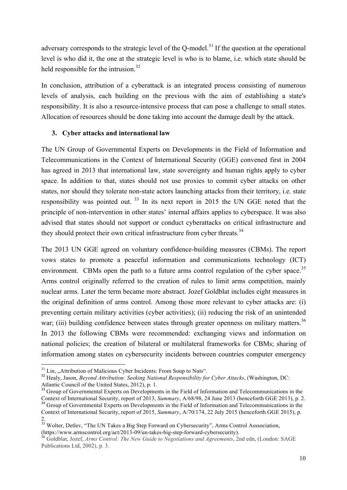adversary corresponds to the strategic level of the Q-model.<sup>31</sup> If the question at the operational level is who did it, the one at the strategic level is who is to blame, i.e. which state should be held responsible for the intrusion.<sup>32</sup>

In conclusion, attribution of a cyberattack is an integrated process consisting of numerous levels of analysis, each building on the previous with the aim of establishing a state's responsibility. It is also a resource-intensive process that can pose a challenge to small states. Allocation of resources should be done taking into account the damage dealt by the attack.

#### **3. Cyber attacks and international law**

The UN Group of Governmental Experts on Developments in the Field of Information and Telecommunications in the Context of International Security (GGE) convened first in 2004 has agreed in 2013 that international law, state sovereignty and human rights apply to cyber space. In addition to that, states should not use proxies to commit cyber attacks on other states, nor should they tolerate non-state actors launching attacks from their territory, i.e. state responsibility was pointed out. <sup>33</sup> In its next report in 2015 the UN GGE noted that the principle of non-intervention in other states' internal affairs applies to cyberspace. It was also advised that states should not support or conduct cyberattacks on critical infrastructure and they should protect their own critical infrastructure from cyber threats.<sup>34</sup>

The 2013 UN GGE agreed on voluntary confidence-building measures (CBMs). The report vows states to promote a peaceful information and communications technology (ICT) environment. CBMs open the path to a future arms control regulation of the cyber space.<sup>35</sup> Arms control originally referred to the creation of rules to limit arms competition, mainly nuclear arms. Later the term became more abstract. Jozef Goldblat includes eight measures in the original definition of arms control. Among those more relevant to cyber attacks are: (i) preventing certain military activities (cyber activities); (ii) reducing the risk of an unintended war; (iii) building confidence between states through greater openness on military matters.<sup>36</sup> In 2013 the following CBMs were recommended: exchanging views and information on national policies; the creation of bilateral or multilateral frameworks for CBMs; sharing of information among states on cybersecurity incidents between countries computer emergency

<sup>&</sup>lt;sup>31</sup> Lin, "Attribution of Malicious Cyber Incidents: From Soup to Nuts".<br><sup>32</sup> Healy, Jason, *Beyond Attribution: Seeking National Responsibility for Cyber Attacks*, (Washington, DC: Atlantic Council of the United States, 2

<sup>&</sup>lt;sup>33</sup> Group of Governmental Experts on Developments in the Field of Information and Telecommunications in the Context of International Security, report of 2013, *Summary*,  $A/68/98$ , 24 June 2013 (henceforth GGE 2013), p.

<sup>&</sup>lt;sup>34</sup> Group of Governmental Experts on Developments in the Field of Information and Telecommunications in the Context of International Security, report of 2015, *Summary*, A/70/174, 22 July 2015 (henceforth GGE 2015), p. 2.

 $35$  Wolter, Detlev, "The UN Takes a Big Step Forward on Cybersecurity", Arms Control Asssociation, (https://www.armscontrol.org/act/2013-09/un-takes-big-step-forward-cybersecurity). <sup>36</sup> Goldblat, Jozef, *Arms Control: The New Guide to Negotiations and Agreements*, 2nd edn, (London: SAGE

Publications Ltd, 2002), p. 3.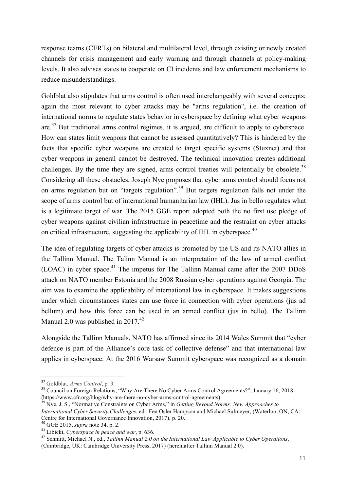response teams (CERTs) on bilateral and multilateral level, through existing or newly created channels for crisis management and early warning and through channels at policy-making levels. It also advises states to cooperate on CI incidents and law enforcement mechanisms to reduce misunderstandings.

Goldblat also stipulates that arms control is often used interchangeably with several concepts; again the most relevant to cyber attacks may be "arms regulation", i.e. the creation of international norms to regulate states behavior in cyberspace by defining what cyber weapons are. $37$  But traditional arms control regimes, it is argued, are difficult to apply to cyberspace. How can states limit weapons that cannot be assessed quantitatively? This is hindered by the facts that specific cyber weapons are created to target specific systems (Stuxnet) and that cyber weapons in general cannot be destroyed. The technical innovation creates additional challenges. By the time they are signed, arms control treaties will potentially be obsolete.<sup>38</sup> Considering all these obstacles, Joseph Nye proposes that cyber arms control should focus not on arms regulation but on "targets regulation".<sup>39</sup> But targets regulation falls not under the scope of arms control but of international humanitarian law (IHL). Jus in bello regulates what is a legitimate target of war. The 2015 GGE report adopted both the no first use pledge of cyber weapons against civilian infrastructure in peacetime and the restraint on cyber attacks on critical infrastructure, suggesting the applicability of IHL in cyberspace.<sup>40</sup>

The idea of regulating targets of cyber attacks is promoted by the US and its NATO allies in the Tallinn Manual. The Talinn Manual is an interpretation of the law of armed conflict  $(LOAC)$  in cyber space.<sup>41</sup> The impetus for The Tallinn Manual came after the 2007 DDoS attack on NATO member Estonia and the 2008 Russian cyber operations against Georgia. The aim was to examine the applicability of international law in cyberspace. It makes suggestions under which circumstances states can use force in connection with cyber operations (jus ad bellum) and how this force can be used in an armed conflict (jus in bello). The Tallinn Manual 2.0 was published in  $2017<sup>42</sup>$ 

Alongside the Tallinn Manuals, NATO has affirmed since its 2014 Wales Summit that "cyber defence is part of the Alliance's core task of collective defense" and that international law applies in cyberspace. At the 2016 Warsaw Summit cyberspace was recognized as a domain

 

<sup>37</sup> Goldblat, *Arms Control*, p. 3.

<sup>&</sup>lt;sup>38</sup> Council on Foreign Relations, "Why Are There No Cyber Arms Control Agreements?", January 16, 2018 (https://www.cfr.org/blog/why-are-there-no-cyber-arms-control-agreements).

<sup>&</sup>lt;sup>39</sup> Nye, J. S., "Normative Constraints on Cyber Arms," in *Getting Beyond Norms: New Approaches to International Cyber Security Challenges*, ed. Fen Osler Hampson and Michael Sulmeyer, (Waterloo, ON, CA: Centre for International Governance Innovation, 2017), p. 20. <sup>40</sup> GGE 2015, *supra* note 34, p. 2.

<sup>41</sup> Libicki, *Cyberspace in peace and war*, p. 636.

<sup>42</sup> Schmitt, Michael N., ed., *Tallinn Manual 2.0 on the International Law Applicable to Cyber Operations*, (Cambridge, UK: Cambridge University Press, 2017) (hereinafter Tallinn Manual 2.0).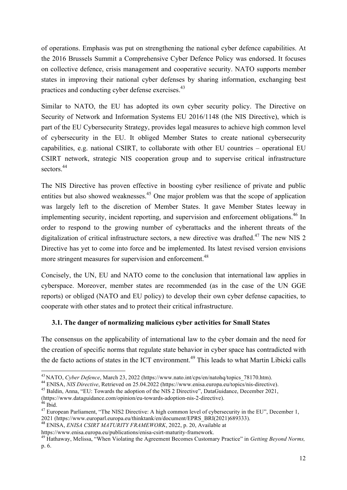of operations. Emphasis was put on strengthening the national cyber defence capabilities. At the 2016 Brussels Summit a Comprehensive Cyber Defence Policy was endorsed. It focuses on collective defence, crisis management and cooperative security. NATO supports member states in improving their national cyber defenses by sharing information, exchanging best practices and conducting cyber defense exercises.<sup>43</sup>

Similar to NATO, the EU has adopted its own cyber security policy. The Directive on Security of Network and Information Systems EU 2016/1148 (the NIS Directive), which is part of the EU Cybersecurity Strategy, provides legal measures to achieve high common level of cybersecurity in the EU. It obliged Member States to create national cybersecurity capabilities, e.g. national CSIRT, to collaborate with other EU countries – operational EU CSIRT network, strategic NIS cooperation group and to supervise critical infrastructure sectors.<sup>44</sup>

The NIS Directive has proven effective in boosting cyber resilience of private and public entities but also showed weaknesses.<sup>45</sup> One major problem was that the scope of application was largely left to the discretion of Member States. It gave Member States leeway in implementing security, incident reporting, and supervision and enforcement obligations.<sup>46</sup> In order to respond to the growing number of cyberattacks and the inherent threats of the digitalization of critical infrastructure sectors, a new directive was drafted.<sup>47</sup> The new NIS 2 Directive has yet to come into force and be implemented. Its latest revised version envisions more stringent measures for supervision and enforcement.<sup>48</sup>

Concisely, the UN, EU and NATO come to the conclusion that international law applies in cyberspace. Moreover, member states are recommended (as in the case of the UN GGE reports) or obliged (NATO and EU policy) to develop their own cyber defense capacities, to cooperate with other states and to protect their critical infrastructure.

#### **3.1. The danger of normalizing malicious cyber activities for Small States**

The consensus on the applicability of international law to the cyber domain and the need for the creation of specific norms that regulate state behavior in cyber space has contradicted with the de facto actions of states in the ICT environment.<sup>49</sup> This leads to what Martin Libicki calls

<sup>&</sup>lt;sup>43</sup> NATO, *Cyber Defence*, March 23, 2022 (https://www.nato.int/cps/en/natohq/topics\_78170.htm).<br><sup>44</sup> ENISA, *NIS Directive*, Retrieved on 25.04.2022 (https://www.enisa.europa.eu/topics/nis-directive).

<sup>45</sup> Baldin, Anna, "EU: Towards the adoption of the NIS 2 Directive", DataGuidance, December 2021,

<sup>(</sup>https://www.dataguidance.com/opinion/eu-towards-adoption-nis-2-directive). <sup>46</sup> Ibid.

<sup>&</sup>lt;sup>47</sup> European Parliament, "The NIS2 Directive: A high common level of cybersecurity in the EU", December 1, 2021 (https://www.europarl.europa.eu/thinktank/en/document/EPRS BRI(2021)689333).

<sup>&</sup>lt;sup>48</sup> ENISA. *ENISA CSIRT MATURITY FRAMEWORK*, 2022, p. 20, Available at

https://www.enisa.europa.eu/publications/enisa-csirt-maturity-framework.<br><sup>49</sup> Hathaway, Melissa, "When Violating the Agreement Becomes Customary Practice" in *Getting Beyond Norms*, p. 6.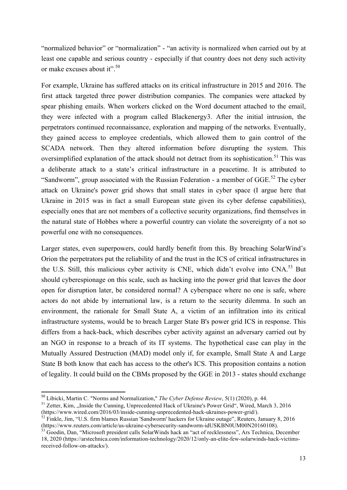"normalized behavior" or "normalization" - "an activity is normalized when carried out by at least one capable and serious country - especially if that country does not deny such activity or make excuses about it". 50

For example, Ukraine has suffered attacks on its critical infrastructure in 2015 and 2016. The first attack targeted three power distribution companies. The companies were attacked by spear phishing emails. When workers clicked on the Word document attached to the email, they were infected with a program called Blackenergy3. After the initial intrusion, the perpetrators continued reconnaissance, exploration and mapping of the networks. Eventually, they gained access to employee credentials, which allowed them to gain control of the SCADA network. Then they altered information before disrupting the system. This oversimplified explanation of the attack should not detract from its sophistication.<sup>51</sup> This was a deliberate attack to a state's critical infrastructure in a peacetime. It is attributed to "Sandworm", group associated with the Russian Federation - a member of  $GGE$ <sup>52</sup>. The cyber attack on Ukraine's power grid shows that small states in cyber space (I argue here that Ukraine in 2015 was in fact a small European state given its cyber defense capabilities), especially ones that are not members of a collective security organizations, find themselves in the natural state of Hobbes where a powerful country can violate the sovereignty of a not so powerful one with no consequences.

Larger states, even superpowers, could hardly benefit from this. By breaching SolarWind's Orion the perpetrators put the reliability of and the trust in the ICS of critical infrastructures in the U.S. Still, this malicious cyber activity is CNE, which didn't evolve into CNA.<sup>53</sup> But should cyberespionage on this scale, such as hacking into the power grid that leaves the door open for disruption later, be considered normal? A cyberspace where no one is safe, where actors do not abide by international law, is a return to the security dilemma. In such an environment, the rationale for Small State A, a victim of an infiltration into its critical infrastructure systems, would be to breach Larger State B's power grid ICS in response. This differs from a hack-back, which describes cyber activity against an adversary carried out by an NGO in response to a breach of its IT systems. The hypothetical case can play in the Mutually Assured Destruction (MAD) model only if, for example, Small State A and Large State B both know that each has access to the other's ICS. This proposition contains a notion of legality. It could build on the CBMs proposed by the GGE in 2013 - states should exchange

 <sup>50</sup> Libicki, Martin C. "Norms and Normalization," *The Cyber Defense Review*, 5(1) (2020), p. 44.

<sup>&</sup>lt;sup>51</sup> Zetter, Kim, "Inside the Cunning, Unprecedented Hack of Ukraine's Power Grid", Wired, March 3, 2016 (https://www.wired.com/2016/03/inside-cunning-unprecedented-hack-ukraines-power-grid/).

 $\frac{\dot{5}2 \text{ Finkle}}{\text{th}}$ , Jim, "U.S. firm blames Russian 'Sandworm' hackers for Ukraine outage", Reuters, January 8, 2016<br>(https://www.reuters.com/article/us-ukraine-cybersecurity-sandworm-idUSKBN0UM00N20160108).

<sup>&</sup>lt;sup>53</sup> Goodin, Dan, "Microsoft president calls SolarWinds hack an "act of recklessness", Ars Technica, December 18, 2020 (https://arstechnica.com/information-technology/2020/12/only-an-elite-few-solarwinds-hack-victimsreceived-follow-on-attacks/).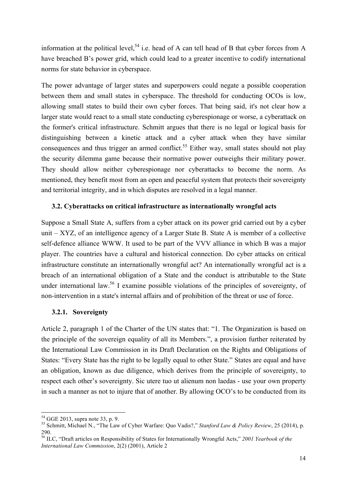information at the political level,<sup>54</sup> i.e. head of A can tell head of B that cyber forces from A have breached B's power grid, which could lead to a greater incentive to codify international norms for state behavior in cyberspace.

The power advantage of larger states and superpowers could negate a possible cooperation between them and small states in cyberspace. The threshold for conducting OCOs is low, allowing small states to build their own cyber forces. That being said, it's not clear how a larger state would react to a small state conducting cyberespionage or worse, a cyberattack on the former's critical infrastructure. Schmitt argues that there is no legal or logical basis for distinguishing between a kinetic attack and a cyber attack when they have similar consequences and thus trigger an armed conflict.<sup>55</sup> Either way, small states should not play the security dilemma game because their normative power outweighs their military power. They should allow neither cyberespionage nor cyberattacks to become the norm. As mentioned, they benefit most from an open and peaceful system that protects their sovereignty and territorial integrity, and in which disputes are resolved in a legal manner.

#### **3.2. Cyberattacks on critical infrastructure as internationally wrongful acts**

Suppose a Small State A, suffers from a cyber attack on its power grid carried out by a cyber unit – XYZ, of an intelligence agency of a Larger State B. State A is member of a collective self-defence alliance WWW. It used to be part of the VVV alliance in which B was a major player. The countries have a cultural and historical connection. Do cyber attacks on critical infrastructure constitute an internationally wrongful act? An internationally wrongful act is a breach of an international obligation of a State and the conduct is attributable to the State under international law.<sup>56</sup> I examine possible violations of the principles of sovereignty, of non-intervention in a state's internal affairs and of prohibition of the threat or use of force.

#### **3.2.1. Sovereignty**

Article 2, paragraph 1 of the Charter of the UN states that: "1. The Organization is based on the principle of the sovereign equality of all its Members.", a provision further reiterated by the International Law Commission in its Draft Declaration on the Rights and Obligations of States: "Every State has the right to be legally equal to other State." States are equal and have an obligation, known as due diligence, which derives from the principle of sovereignty, to respect each other's sovereignty. Sic utere tuo ut alienum non laedas - use your own property in such a manner as not to injure that of another. By allowing OCO's to be conducted from its

 $54$  GGE 2013, supra note 33, p. 9.

<sup>&</sup>lt;sup>55</sup> Schmitt, Michael N., "The Law of Cyber Warfare: Quo Vadis?," *Stanford Law & Policy Review*, 25 (2014), p. 290.

<sup>56</sup> ILC, "Draft articles on Responsibility of States for Internationally Wrongful Acts," *2001 Yearbook of the International Law Commission*, 2(2) (2001), Article 2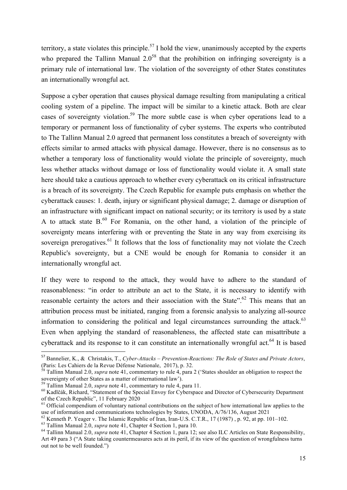territory, a state violates this principle.<sup>57</sup> I hold the view, unanimously accepted by the experts who prepared the Tallinn Manual  $2.0<sup>58</sup>$  that the prohibition on infringing sovereignty is a primary rule of international law. The violation of the sovereignty of other States constitutes an internationally wrongful act.

Suppose a cyber operation that causes physical damage resulting from manipulating a critical cooling system of a pipeline. The impact will be similar to a kinetic attack. Both are clear cases of sovereignty violation.<sup>59</sup> The more subtle case is when cyber operations lead to a temporary or permanent loss of functionality of cyber systems. The experts who contributed to The Tallinn Manual 2.0 agreed that permanent loss constitutes a breach of sovereignty with effects similar to armed attacks with physical damage. However, there is no consensus as to whether a temporary loss of functionality would violate the principle of sovereignty, much less whether attacks without damage or loss of functionality would violate it. A small state here should take a cautious approach to whether every cyberattack on its critical infrastructure is a breach of its sovereignty. The Czech Republic for example puts emphasis on whether the cyberattack causes: 1. death, injury or significant physical damage; 2. damage or disruption of an infrastructure with significant impact on national security; or its territory is used by a state A to attack state  $B<sub>0</sub><sup>60</sup>$  For Romania, on the other hand, a violation of the principle of sovereignty means interfering with or preventing the State in any way from exercising its sovereign prerogatives.<sup>61</sup> It follows that the loss of functionality may not violate the Czech Republic's sovereignty, but a CNE would be enough for Romania to consider it an internationally wrongful act.

If they were to respond to the attack, they would have to adhere to the standard of reasonableness: "in order to attribute an act to the State, it is necessary to identify with reasonable certainty the actors and their association with the State".<sup>62</sup> This means that an attribution process must be initiated, ranging from a forensic analysis to analyzing all-source information to considering the political and legal circumstances surrounding the attack. $63$ Even when applying the standard of reasonableness, the affected state can misattribute a cyberattack and its response to it can constitute an internationally wrongful act.<sup>64</sup> It is based

<sup>57</sup> Bannelier, K., & Christakis, T., *Cyber-Attacks – Prevention-Reactions: The Role of States and Private Actors*,

<sup>&</sup>lt;sup>58</sup> Tallinn Manual 2.0, *supra* note 41, commentary to rule 4, para 2 ('States shoulder an obligation to respect the sovereignty of other States as a matter of international law').

<sup>&</sup>lt;sup>59</sup> Tallinn Manual 2.0, *supra* note 41, commentary to rule 4, para 11.<br><sup>60</sup> Kadlčák, Richard, "Statement of the Special Envoy for Cyberspace and Director of Cybersecurity Department<br>of the Czech Republic". 11 February 2

 $<sup>61</sup>$  Official compendium of voluntary national contributions on the subject of how international law applies to the</sup> use of information and communications technologies by States, UNODA, A/76/136, August 2021<br><sup>62</sup> Kenneth P. Yeager v. The Islamic Republic of Iran, Iran-U.S. C.T.R., 17 (1987), p. 92, at pp. 101–102.

 $^{63}$  Tallinn Manual 2.0, *supra* note 41, Chapter 4 Section 1, para 10.<br><sup>64</sup> Tallinn Manual 2.0, *supra* note 41, Chapter 4 Section 1, para 12; see also ILC Articles on State Responsibility, Art 49 para 3 ("A State taking countermeasures acts at its peril, if its view of the question of wrongfulness turns out not to be well founded.")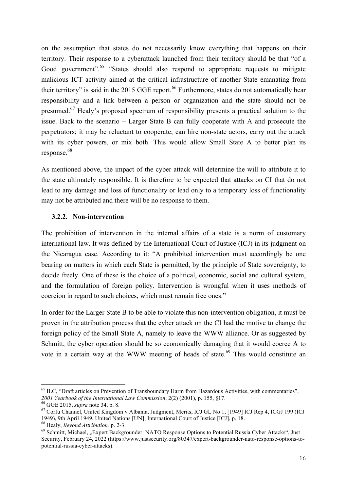on the assumption that states do not necessarily know everything that happens on their territory. Their response to a cyberattack launched from their territory should be that "of a Good government".<sup>65</sup> "States should also respond to appropriate requests to mitigate malicious ICT activity aimed at the critical infrastructure of another State emanating from their territory" is said in the 2015 GGE report.<sup>66</sup> Furthermore, states do not automatically bear responsibility and a link between a person or organization and the state should not be presumed.<sup>67</sup> Healy's proposed spectrum of responsibility presents a practical solution to the issue. Back to the scenario – Larger State B can fully cooperate with A and prosecute the perpetrators; it may be reluctant to cooperate; can hire non-state actors, carry out the attack with its cyber powers, or mix both. This would allow Small State A to better plan its response. 68

As mentioned above, the impact of the cyber attack will determine the will to attribute it to the state ultimately responsible. It is therefore to be expected that attacks on CI that do not lead to any damage and loss of functionality or lead only to a temporary loss of functionality may not be attributed and there will be no response to them.

#### **3.2.2. Non-intervention**

The prohibition of intervention in the internal affairs of a state is a norm of customary international law. It was defined by the International Court of Justice (ICJ) in its judgment on the Nicaragua case. According to it: "A prohibited intervention must accordingly be one bearing on matters in which each State is permitted, by the principle of State sovereignty, to decide freely. One of these is the choice of a political, economic, social and cultural system, and the formulation of foreign policy. Intervention is wrongful when it uses methods of coercion in regard to such choices, which must remain free ones."

In order for the Larger State B to be able to violate this non-intervention obligation, it must be proven in the attribution process that the cyber attack on the CI had the motive to change the foreign policy of the Small State A, namely to leave the WWW alliance. Or as suggested by Schmitt, the cyber operation should be so economically damaging that it would coerce A to vote in a certain way at the WWW meeting of heads of state.<sup>69</sup> This would constitute an

<sup>&</sup>lt;sup>65</sup> ILC, "Draft articles on Prevention of Transboundary Harm from Hazardous Activities, with commentaries", *2001 Yearbook of the International Law Commission*, 2(2) (2001), p. 155, §17. <sup>66</sup> GGE 2015, *supra* note 34, p. 8.

<sup>67</sup> Corfu Channel, United Kingdom v Albania, Judgment, Merits, ICJ GL No 1, [1949] ICJ Rep 4, ICGJ 199 (ICJ 1949), 9th April 1949, United Nations [UN]; International Court of Justice [ICJ], p. 18. <sup>68</sup> Healy, *Beyond Attribution,* p. 2-3.

<sup>&</sup>lt;sup>69</sup> Schmitt, Michael, "Expert Backgrounder: NATO Response Options to Potential Russia Cyber Attacks", Just Security, February 24, 2022 (https://www.justsecurity.org/80347/expert-backgrounder-nato-response-options-topotential-russia-cyber-attacks).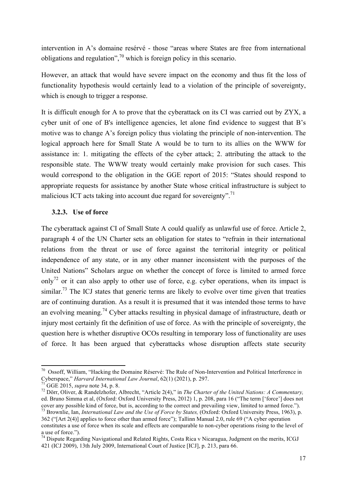intervention in A's domaine resérvé - those "areas where States are free from international obligations and regulation",<sup>70</sup> which is foreign policy in this scenario.

However, an attack that would have severe impact on the economy and thus fit the loss of functionality hypothesis would certainly lead to a violation of the principle of sovereignty, which is enough to trigger a response.

It is difficult enough for A to prove that the cyberattack on its CI was carried out by ZYX, a cyber unit of one of B's intelligence agencies, let alone find evidence to suggest that B's motive was to change A's foreign policy thus violating the principle of non-intervention. The logical approach here for Small State A would be to turn to its allies on the WWW for assistance in: 1. mitigating the effects of the cyber attack; 2. attributing the attack to the responsible state. The WWW treaty would certainly make provision for such cases. This would correspond to the obligation in the GGE report of 2015: "States should respond to appropriate requests for assistance by another State whose critical infrastructure is subject to malicious ICT acts taking into account due regard for sovereignty".<sup>71</sup>

#### **3.2.3. Use of force**

The cyberattack against CI of Small State A could qualify as unlawful use of force. Article 2, paragraph 4 of the UN Charter sets an obligation for states to "refrain in their international relations from the threat or use of force against the territorial integrity or political independence of any state, or in any other manner inconsistent with the purposes of the United Nations" Scholars argue on whether the concept of force is limited to armed force only<sup>72</sup> or it can also apply to other use of force, e.g. cyber operations, when its impact is similar.<sup>73</sup> The ICJ states that generic terms are likely to evolve over time given that treaties are of continuing duration. As a result it is presumed that it was intended those terms to have an evolving meaning.<sup>74</sup> Cyber attacks resulting in physical damage of infrastructure, death or injury most certainly fit the definition of use of force. As with the principle of sovereignty, the question here is whether disruptive OCOs resulting in temporary loss of functionality are uses of force. It has been argued that cyberattacks whose disruption affects state security

<sup>&</sup>lt;sup>70</sup> Ossoff, William, "Hacking the Domaine Réservé: The Rule of Non-Intervention and Political Interference in Cyberspace," Harvard International Law Journal, 62(1) (2021), p. 297.<br><sup>71</sup> GGE 2015, *supra* note 34, p. 8.<br><sup>72</sup> Dörr, Oliver, & Randelzhofer, Albrecht, "Article 2(4)," in *The Charter of the United Nations: A Commentary* 

ed. Bruno Simma et al, (Oxford: Oxford University Press, 2012) 1, p. 208, para 16 ("The term ['force'] does not cover any possible kind of force, but is, according to the correct and prevailing view, limited to armed force.").

<sup>73</sup> Brownlie, Ian, *International Law and the Use of Force by States,* (Oxford: Oxford University Press, 1963), p. 362 ("[Art 2(4)] applies to force other than armed force"); Tallinn Manual 2.0, rule 69 ("A cyber operation constitutes a use of force when its scale and effects are comparable to non-cyber operations rising to the level of a use of force.").

<sup>&</sup>lt;sup>74</sup> Dispute Regarding Navigational and Related Rights, Costa Rica v Nicaragua, Judgment on the merits, ICGJ 421 (ICJ 2009), 13th July 2009, International Court of Justice [ICJ], p. 213, para 66.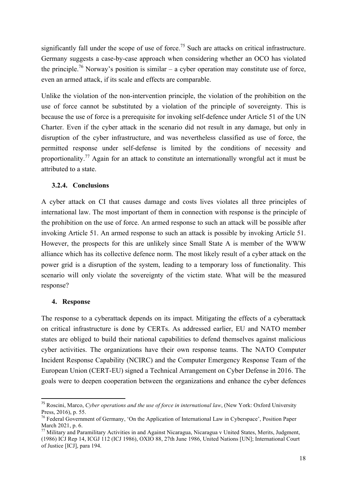significantly fall under the scope of use of force.<sup>75</sup> Such are attacks on critical infrastructure. Germany suggests a case-by-case approach when considering whether an OCO has violated the principle.<sup>76</sup> Norway's position is similar – a cyber operation may constitute use of force, even an armed attack, if its scale and effects are comparable.

Unlike the violation of the non-intervention principle, the violation of the prohibition on the use of force cannot be substituted by a violation of the principle of sovereignty. This is because the use of force is a prerequisite for invoking self-defence under Article 51 of the UN Charter. Even if the cyber attack in the scenario did not result in any damage, but only in disruption of the cyber infrastructure, and was nevertheless classified as use of force, the permitted response under self-defense is limited by the conditions of necessity and proportionality.<sup>77</sup> Again for an attack to constitute an internationally wrongful act it must be attributed to a state.

#### **3.2.4. Conclusions**

A cyber attack on CI that causes damage and costs lives violates all three principles of international law. The most important of them in connection with response is the principle of the prohibition on the use of force. An armed response to such an attack will be possible after invoking Article 51. An armed response to such an attack is possible by invoking Article 51. However, the prospects for this are unlikely since Small State A is member of the WWW alliance which has its collective defence norm. The most likely result of a cyber attack on the power grid is a disruption of the system, leading to a temporary loss of functionality. This scenario will only violate the sovereignty of the victim state. What will be the measured response?

#### **4. Response**

<u> 1989 - Johann Stein, fransk politik (d. 1989)</u>

The response to a cyberattack depends on its impact. Mitigating the effects of a cyberattack on critical infrastructure is done by CERTs. As addressed earlier, EU and NATO member states are obliged to build their national capabilities to defend themselves against malicious cyber activities. The organizations have their own response teams. The NATO Computer Incident Response Capability (NCIRC) and the Computer Emergency Response Team of the European Union (CERT-EU) signed a Technical Arrangement on Cyber Defense in 2016. The goals were to deepen cooperation between the organizations and enhance the cyber defences

<sup>75</sup> Roscini, Marco, *Cyber operations and the use of force in international law*, (New York: Oxford University Press, 2016), p. 55.

<sup>&</sup>lt;sup>76</sup> Federal Government of Germany, 'On the Application of International Law in Cyberspace', Position Paper March 2021, p. 6.

<sup>&</sup>lt;sup>77</sup> Military and Paramilitary Activities in and Against Nicaragua, Nicaragua v United States, Merits, Judgment, (1986) ICJ Rep 14, ICGJ 112 (ICJ 1986), OXIO 88, 27th June 1986, United Nations [UN]; International Court of Justice [ICJ], para 194.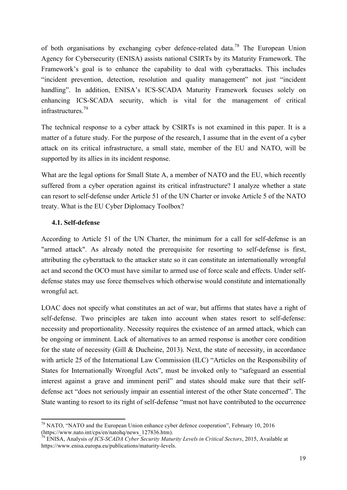of both organisations by exchanging cyber defence-related data.<sup>78</sup> The European Union Agency for Cybersecurity (ENISA) assists national CSIRTs by its Maturity Framework. The Framework's goal is to enhance the capability to deal with cyberattacks. This includes "incident prevention, detection, resolution and quality management" not just "incident handling". In addition, ENISA's ICS-SCADA Maturity Framework focuses solely on enhancing ICS-SCADA security, which is vital for the management of critical infrastructures.79

The technical response to a cyber attack by CSIRTs is not examined in this paper. It is a matter of a future study. For the purpose of the research, I assume that in the event of a cyber attack on its critical infrastructure, a small state, member of the EU and NATO, will be supported by its allies in its incident response.

What are the legal options for Small State A, a member of NATO and the EU, which recently suffered from a cyber operation against its critical infrastructure? I analyze whether a state can resort to self-defense under Article 51 of the UN Charter or invoke Article 5 of the NATO treaty. What is the EU Cyber Diplomacy Toolbox?

#### **4.1. Self-defense**

<u> 1989 - Johann Stein, fransk politik (d. 1989)</u>

According to Article 51 of the UN Charter, the minimum for a call for self-defense is an "armed attack". As already noted the prerequisite for resorting to self-defense is first, attributing the cyberattack to the attacker state so it can constitute an internationally wrongful act and second the OCO must have similar to armed use of force scale and effects. Under selfdefense states may use force themselves which otherwise would constitute and internationally wrongful act.

LOAC does not specify what constitutes an act of war, but affirms that states have a right of self-defense. Two principles are taken into account when states resort to self-defense: necessity and proportionality. Necessity requires the existence of an armed attack, which can be ongoing or imminent. Lack of alternatives to an armed response is another core condition for the state of necessity (Gill & Ducheine, 2013). Next, the state of necessity, in accordance with article 25 of the International Law Commission (ILC) "Articles on the Responsibility of States for Internationally Wrongful Acts", must be invoked only to "safeguard an essential interest against a grave and imminent peril" and states should make sure that their selfdefense act "does not seriously impair an essential interest of the other State concerned". The State wanting to resort to its right of self-defense "must not have contributed to the occurrence

<sup>&</sup>lt;sup>78</sup> NATO, "NATO and the European Union enhance cyber defence cooperation", February 10, 2016 (https://www.nato.int/cps/en/natohq/news 127836.htm).

<sup>&</sup>lt;sup>79</sup> ENISA, Analysis *of ICS-SCADA Cyber Security Maturity Levels in Critical Sectors*, 2015, Available at https://www.enisa.europa.eu/publications/maturity-levels.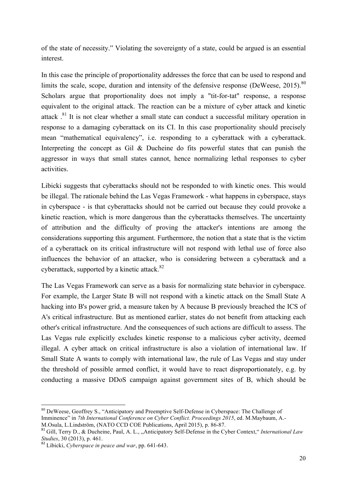of the state of necessity." Violating the sovereignty of a state, could be argued is an essential interest.

In this case the principle of proportionality addresses the force that can be used to respond and limits the scale, scope, duration and intensity of the defensive response (DeWeese,  $2015$ ).<sup>80</sup> Scholars argue that proportionality does not imply a "tit-for-tat" response, a response equivalent to the original attack. The reaction can be a mixture of cyber attack and kinetic attack <sup>81</sup> It is not clear whether a small state can conduct a successful military operation in response to a damaging cyberattack on its CI. In this case proportionality should precisely mean "mathematical equivalency", i.e. responding to a cyberattack with a cyberattack. Interpreting the concept as Gil & Ducheine do fits powerful states that can punish the aggressor in ways that small states cannot, hence normalizing lethal responses to cyber activities.

Libicki suggests that cyberattacks should not be responded to with kinetic ones. This would be illegal. The rationale behind the Las Vegas Framework - what happens in cyberspace, stays in cyberspace - is that cyberattacks should not be carried out because they could provoke a kinetic reaction, which is more dangerous than the cyberattacks themselves. The uncertainty of attribution and the difficulty of proving the attacker's intentions are among the considerations supporting this argument. Furthermore, the notion that a state that is the victim of a cyberattack on its critical infrastructure will not respond with lethal use of force also influences the behavior of an attacker, who is considering between a cyberattack and a cyberattack, supported by a kinetic attack.<sup>82</sup>

The Las Vegas Framework can serve as a basis for normalizing state behavior in cyberspace. For example, the Larger State B will not respond with a kinetic attack on the Small State A hacking into B's power grid, a measure taken by A because B previously breached the ICS of A's critical infrastructure. But as mentioned earlier, states do not benefit from attacking each other's critical infrastructure. And the consequences of such actions are difficult to assess. The Las Vegas rule explicitly excludes kinetic response to a malicious cyber activity, deemed illegal. A cyber attack on critical infrastructure is also a violation of international law. If Small State A wants to comply with international law, the rule of Las Vegas and stay under the threshold of possible armed conflict, it would have to react disproportionately, e.g. by conducting a massive DDoS campaign against government sites of B, which should be

<sup>&</sup>lt;u> 1989 - Johann Stein, fransk politik (d. 1989)</u> <sup>80</sup> DeWeese, Geoffrey S., "Anticipatory and Preemptive Self-Defense in Cyberspace: The Challenge of Imminence" in 7th International Conference on Cyber Conflict. Proceedings 2015, ed. M.Maybaum, A.-<br>M.Osula, L.Lindström. (NATO CCD COE Publications, April 2015), p. 86-87.

<sup>&</sup>lt;sup>81</sup> Gill, Terry D., & Ducheine, Paul, A. L., "Anticipatory Self-Defense in the Cyber Context," *International Law Studies*, 30 (2013), p. 461.

*Studies*, 30 (2013), p. 461. <sup>82</sup> Libicki, *Cyberspace in peace and war*, pp. 641-643.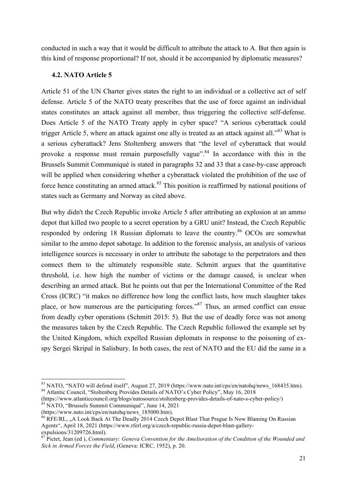conducted in such a way that it would be difficult to attribute the attack to A. But then again is this kind of response proportional? If not, should it be accompanied by diplomatic measures?

#### **4.2. NATO Article 5**

Article 51 of the UN Charter gives states the right to an individual or a collective act of self defense. Article 5 of the NATO treaty prescribes that the use of force against an individual states constitutes an attack against all member, thus triggering the collective self-defense. Does Article 5 of the NATO Treaty apply in cyber space? "A serious cyberattack could trigger Article 5, where an attack against one ally is treated as an attack against all.<sup>383</sup> What is a serious cyberattack? Jens Stoltenberg answers that "the level of cyberattack that would provoke a response must remain purposefully vague".<sup>84</sup> In accordance with this in the Brussels Summit Communiqué is stated in paragraphs 32 and 33 that a case-by-case approach will be applied when considering whether a cyberattack violated the prohibition of the use of force hence constituting an armed attack.<sup>85</sup> This position is reaffirmed by national positions of states such as Germany and Norway as cited above.

But why didn't the Czech Republic invoke Article 5 after attributing an explosion at an ammo depot that killed two people to a secret operation by a GRU unit? Instead, the Czech Republic responded by ordering 18 Russian diplomats to leave the country.<sup>86</sup> OCOs are somewhat similar to the ammo depot sabotage. In addition to the forensic analysis, an analysis of various intelligence sources is necessary in order to attribute the sabotage to the perpetrators and then connect them to the ultimately responsible state. Schmitt argues that the quantitative threshold, i.e. how high the number of victims or the damage caused, is unclear when describing an armed attack. But he points out that per the International Committee of the Red Cross (ICRC) "it makes no difference how long the conflict lasts, how much slaughter takes place, or how numerous are the participating forces."<sup>87</sup> Thus, an armed conflict can ensue from deadly cyber operations (Schmitt 2015: 5). But the use of deadly force was not among the measures taken by the Czech Republic. The Czech Republic followed the example set by the United Kingdom, which expelled Russian diplomats in response to the poisoning of exspy Sergei Skripal in Salisbury. In both cases, the rest of NATO and the EU did the same in a

<sup>&</sup>lt;sup>83</sup> NATO, "NATO will defend itself", August 27, 2019 (https://www.nato.int/cps/en/natohq/news\_168435.htm).<br><sup>84</sup> Atlantic Council, "Stoltenberg Provides Details of NATO's Cyber Policy", May 16, 2018

<sup>(</sup>https://www.atlanticcouncil.org/blogs/natosource/stoltenberg-provides-details-of-nato-s-cyber-policy/)<br><sup>85</sup> NATO, "Brussels Summit Communiqué", June 14, 2021<br>(https://www.nato.int/cps/en/natohg/news 185000.htm).

 $^{86}$  RFE/RL, "A Look Back At The Deadly 2014 Czech Depot Blast That Prague Is Now Blaming On Russian Agents", April 18, 2021 (https://www.rferl.org/a/czech-republic-russia-depot-blast-gallery-expulsions/31209726.html).

<sup>&</sup>lt;sup>87</sup> Pictet, Jean (ed ), *Commentary: Geneva Convention for the Amelioration of the Condition of the Wounded and Sick in Armed Forces the Field*, (Geneva: ICRC, 1952), p. 20.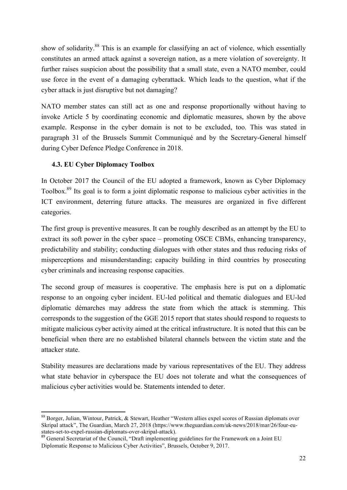show of solidarity.<sup>88</sup> This is an example for classifying an act of violence, which essentially constitutes an armed attack against a sovereign nation, as a mere violation of sovereignty. It further raises suspicion about the possibility that a small state, even a NATO member, could use force in the event of a damaging cyberattack. Which leads to the question, what if the cyber attack is just disruptive but not damaging?

NATO member states can still act as one and response proportionally without having to invoke Article 5 by coordinating economic and diplomatic measures, shown by the above example. Response in the cyber domain is not to be excluded, too. This was stated in paragraph 31 of the Brussels Summit Communiqué and by the Secretary-General himself during Cyber Defence Pledge Conference in 2018.

#### **4.3. EU Cyber Diplomacy Toolbox**

In October 2017 the Council of the EU adopted a framework, known as Cyber Diplomacy Toolbox.<sup>89</sup> Its goal is to form a joint diplomatic response to malicious cyber activities in the ICT environment, deterring future attacks. The measures are organized in five different categories.

The first group is preventive measures. It can be roughly described as an attempt by the EU to extract its soft power in the cyber space – promoting OSCE CBMs, enhancing transparency, predictability and stability; conducting dialogues with other states and thus reducing risks of misperceptions and misunderstanding; capacity building in third countries by prosecuting cyber criminals and increasing response capacities.

The second group of measures is cooperative. The emphasis here is put on a diplomatic response to an ongoing cyber incident. EU-led political and thematic dialogues and EU-led diplomatic démarches may address the state from which the attack is stemming. This corresponds to the suggestion of the GGE 2015 report that states should respond to requests to mitigate malicious cyber activity aimed at the critical infrastructure. It is noted that this can be beneficial when there are no established bilateral channels between the victim state and the attacker state.

Stability measures are declarations made by various representatives of the EU. They address what state behavior in cyberspace the EU does not tolerate and what the consequences of malicious cyber activities would be. Statements intended to deter.

<sup>&</sup>lt;u> 1989 - Johann Stein, fransk politik (d. 1989)</u> <sup>88</sup> Borger, Julian, Wintour, Patrick, & Stewart, Heather "Western allies expel scores of Russian diplomats over Skripal attack", The Guardian, March 27, 2018 (https://www.theguardian.com/uk-news/2018/mar/26/four-eu-<br>states-set-to-expel-russian-diplomats-over-skripal-attack).

<sup>&</sup>lt;sup>89</sup> General Secretariat of the Council, "Draft implementing guidelines for the Framework on a Joint EU Diplomatic Response to Malicious Cyber Activities", Brussels, October 9, 2017.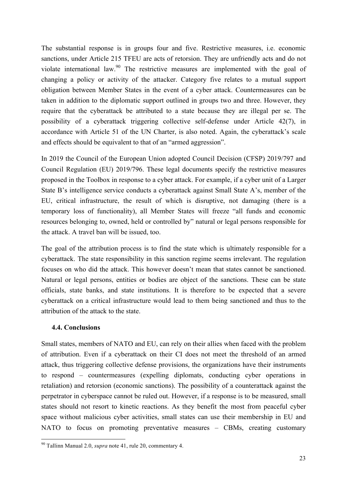The substantial response is in groups four and five. Restrictive measures, i.e. economic sanctions, under Article 215 TFEU are acts of retorsion. They are unfriendly acts and do not violate international law.<sup>90</sup> The restrictive measures are implemented with the goal of changing a policy or activity of the attacker. Category five relates to a mutual support obligation between Member States in the event of a cyber attack. Countermeasures can be taken in addition to the diplomatic support outlined in groups two and three. However, they require that the cyberattack be attributed to a state because they are illegal per se. The possibility of a cyberattack triggering collective self-defense under Article 42(7), in accordance with Article 51 of the UN Charter, is also noted. Again, the cyberattack's scale and effects should be equivalent to that of an "armed aggression".

In 2019 the Council of the European Union adopted Council Decision (CFSP) 2019/797 and Council Regulation (EU) 2019/796. These legal documents specify the restrictive measures proposed in the Toolbox in response to a cyber attack. For example, if a cyber unit of a Larger State B's intelligence service conducts a cyberattack against Small State A's, member of the EU, critical infrastructure, the result of which is disruptive, not damaging (there is a temporary loss of functionality), all Member States will freeze "all funds and economic resources belonging to, owned, held or controlled by" natural or legal persons responsible for the attack. A travel ban will be issued, too.

The goal of the attribution process is to find the state which is ultimately responsible for a cyberattack. The state responsibility in this sanction regime seems irrelevant. The regulation focuses on who did the attack. This however doesn't mean that states cannot be sanctioned. Natural or legal persons, entities or bodies are object of the sanctions. These can be state officials, state banks, and state institutions. It is therefore to be expected that a severe cyberattack on a critical infrastructure would lead to them being sanctioned and thus to the attribution of the attack to the state.

#### **4.4. Conclusions**

<u> 1989 - Johann Stein, fransk politik (d. 1989)</u>

Small states, members of NATO and EU, can rely on their allies when faced with the problem of attribution. Even if a cyberattack on their CI does not meet the threshold of an armed attack, thus triggering collective defense provisions, the organizations have their instruments to respond – countermeasures (expelling diplomats, conducting cyber operations in retaliation) and retorsion (economic sanctions). The possibility of a counterattack against the perpetrator in cyberspace cannot be ruled out. However, if a response is to be measured, small states should not resort to kinetic reactions. As they benefit the most from peaceful cyber space without malicious cyber activities, small states can use their membership in EU and NATO to focus on promoting preventative measures – CBMs, creating customary

<sup>90</sup> Tallinn Manual 2.0, *supra* note 41, rule 20, commentary 4.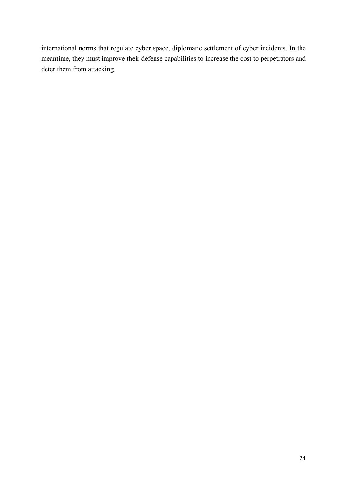international norms that regulate cyber space, diplomatic settlement of cyber incidents. In the meantime, they must improve their defense capabilities to increase the cost to perpetrators and deter them from attacking.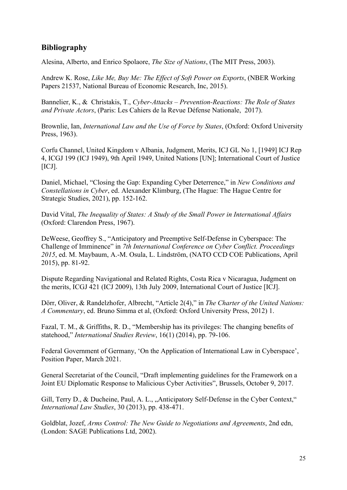#### **Bibliography**

Alesina, Alberto, and Enrico Spolaore, *The Size of Nations*, (The MIT Press, 2003).

Andrew K. Rose, *Like Me, Buy Me: The Effect of Soft Power on Exports*, (NBER Working Papers 21537, National Bureau of Economic Research, Inc, 2015).

Bannelier, K., & Christakis, T., *Cyber-Attacks – Prevention-Reactions: The Role of States and Private Actors*, (Paris: Les Cahiers de la Revue Défense Nationale, 2017).

Brownlie, Ian, *International Law and the Use of Force by States*, (Oxford: Oxford University Press, 1963).

Corfu Channel, United Kingdom v Albania, Judgment, Merits, ICJ GL No 1, [1949] ICJ Rep 4, ICGJ 199 (ICJ 1949), 9th April 1949, United Nations [UN]; International Court of Justice  $[ICJ]$ .

Daniel, Michael, "Closing the Gap: Expanding Cyber Deterrence," in *New Conditions and Constellations in Cyber*, ed. Alexander Klimburg, (The Hague: The Hague Centre for Strategic Studies, 2021), pp. 152-162.

David Vital, *The Inequality of States: A Study of the Small Power in International Affairs* (Oxford: Clarendon Press, 1967).

DeWeese, Geoffrey S., "Anticipatory and Preemptive Self-Defense in Cyberspace: The Challenge of Imminence" in *7th International Conference on Cyber Conflict. Proceedings 2015*, ed. M. Maybaum, A.-M. Osula, L. Lindström, (NATO CCD COE Publications, April 2015), pp. 81-92.

Dispute Regarding Navigational and Related Rights, Costa Rica v Nicaragua, Judgment on the merits, ICGJ 421 (ICJ 2009), 13th July 2009, International Court of Justice [ICJ].

Dörr, Oliver, & Randelzhofer, Albrecht, "Article 2(4)," in *The Charter of the United Nations: A Commentary*, ed. Bruno Simma et al, (Oxford: Oxford University Press, 2012) 1.

Fazal, T. M., & Griffiths, R. D., "Membership has its privileges: The changing benefits of statehood," *International Studies Review*, 16(1) (2014), pp. 79-106.

Federal Government of Germany, 'On the Application of International Law in Cyberspace', Position Paper, March 2021.

General Secretariat of the Council, "Draft implementing guidelines for the Framework on a Joint EU Diplomatic Response to Malicious Cyber Activities", Brussels, October 9, 2017.

Gill, Terry D., & Ducheine, Paul, A. L., "Anticipatory Self-Defense in the Cyber Context," *International Law Studies*, 30 (2013), pp. 438-471.

Goldblat, Jozef, *Arms Control: The New Guide to Negotiations and Agreements*, 2nd edn, (London: SAGE Publications Ltd, 2002).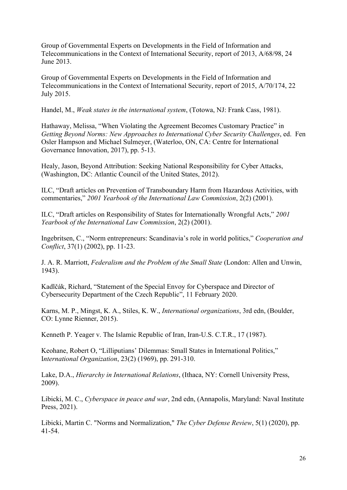Group of Governmental Experts on Developments in the Field of Information and Telecommunications in the Context of International Security, report of 2013, A/68/98, 24 June 2013.

Group of Governmental Experts on Developments in the Field of Information and Telecommunications in the Context of International Security, report of 2015, A/70/174, 22 July 2015.

Handel, M., *Weak states in the international system*, (Totowa, NJ: Frank Cass, 1981).

Hathaway, Melissa, "When Violating the Agreement Becomes Customary Practice" in *Getting Beyond Norms: New Approaches to International Cyber Security Challenges*, ed. Fen Osler Hampson and Michael Sulmeyer, (Waterloo, ON, CA: Centre for International Governance Innovation, 2017), pp. 5-13.

Healy, Jason, Beyond Attribution: Seeking National Responsibility for Cyber Attacks, (Washington, DC: Atlantic Council of the United States, 2012).

ILC, "Draft articles on Prevention of Transboundary Harm from Hazardous Activities, with commentaries," *2001 Yearbook of the International Law Commission*, 2(2) (2001).

ILC, "Draft articles on Responsibility of States for Internationally Wrongful Acts," *2001 Yearbook of the International Law Commission*, 2(2) (2001).

Ingebritsen, C., "Norm entrepreneurs: Scandinavia's role in world politics," *Cooperation and Conflict*, 37(1) (2002), pp. 11-23.

J. A. R. Marriott, *Federalism and the Problem of the Small State* (London: Allen and Unwin, 1943).

Kadlčák, Richard, "Statement of the Special Envoy for Cyberspace and Director of Cybersecurity Department of the Czech Republic", 11 February 2020.

Karns, M. P., Mingst, K. A., Stiles, K. W., *International organizations*, 3rd edn, (Boulder, CO: Lynne Rienner, 2015).

Kenneth P. Yeager v. The Islamic Republic of Iran, Iran-U.S. C.T.R., 17 (1987).

Keohane, Robert O, "Lilliputians' Dilemmas: Small States in International Politics," I*nternational Organization*, 23(2) (1969), pp. 291-310.

Lake, D.A., *Hierarchy in International Relations*, (Ithaca, NY: Cornell University Press, 2009).

Libicki, M. C., *Cyberspace in peace and war*, 2nd edn, (Annapolis, Maryland: Naval Institute Press, 2021).

Libicki, Martin C. "Norms and Normalization," *The Cyber Defense Review*, 5(1) (2020), pp. 41-54.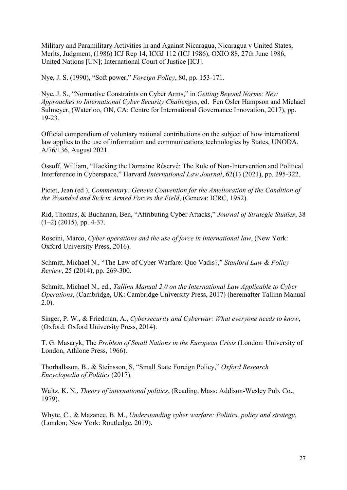Military and Paramilitary Activities in and Against Nicaragua, Nicaragua v United States, Merits, Judgment, (1986) ICJ Rep 14, ICGJ 112 (ICJ 1986), OXIO 88, 27th June 1986, United Nations [UN]; International Court of Justice [ICJ].

Nye, J. S. (1990), "Soft power," *Foreign Policy*, 80, pp. 153-171.

Nye, J. S., "Normative Constraints on Cyber Arms," in *Getting Beyond Norms: New Approaches to International Cyber Security Challenges*, ed. Fen Osler Hampson and Michael Sulmeyer, (Waterloo, ON, CA: Centre for International Governance Innovation, 2017), pp. 19-23.

Official compendium of voluntary national contributions on the subject of how international law applies to the use of information and communications technologies by States, UNODA, A/76/136, August 2021.

Ossoff, William, "Hacking the Domaine Réservé: The Rule of Non-Intervention and Political Interference in Cyberspace," Harvard *International Law Journal*, 62(1) (2021), pp. 295-322.

Pictet, Jean (ed ), *Commentary: Geneva Convention for the Amelioration of the Condition of the Wounded and Sick in Armed Forces the Field*, (Geneva: ICRC, 1952).

Rid, Thomas, & Buchanan, Ben, "Attributing Cyber Attacks," *Journal of Strategic Studies*, 38  $(1-2)$  (2015), pp. 4-37.

Roscini, Marco, *Cyber operations and the use of force in international law*, (New York: Oxford University Press, 2016).

Schmitt, Michael N., "The Law of Cyber Warfare: Quo Vadis?," *Stanford Law & Policy Review*, 25 (2014), pp. 269-300.

Schmitt, Michael N., ed., *Tallinn Manual 2.0 on the International Law Applicable to Cyber Operations*, (Cambridge, UK: Cambridge University Press, 2017) (hereinafter Tallinn Manual 2.0).

Singer, P. W., & Friedman, A., *Cybersecurity and Cyberwar: What everyone needs to know*, (Oxford: Oxford University Press, 2014).

T. G. Masaryk, The *Problem of Small Nations in the European Crisis* (London: University of London, Athlone Press, 1966).

Thorhallsson, B., & Steinsson, S, "Small State Foreign Policy," *Oxford Research Encyclopedia of Politics* (2017).

Waltz, K. N., *Theory of international politics*, (Reading, Mass: Addison-Wesley Pub. Co., 1979).

Whyte, C., & Mazanec, B. M., *Understanding cyber warfare: Politics, policy and strategy*, (London; New York: Routledge, 2019).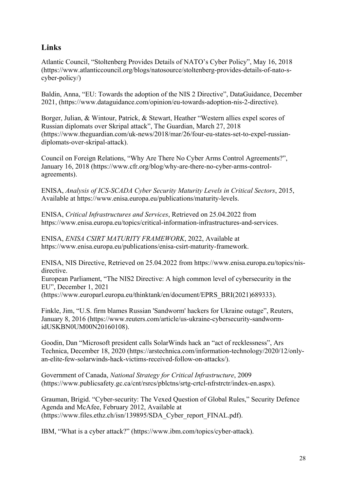#### **Links**

Atlantic Council, "Stoltenberg Provides Details of NATO's Cyber Policy", May 16, 2018 (https://www.atlanticcouncil.org/blogs/natosource/stoltenberg-provides-details-of-nato-scyber-policy/)

Baldin, Anna, "EU: Towards the adoption of the NIS 2 Directive", DataGuidance, December 2021, (https://www.dataguidance.com/opinion/eu-towards-adoption-nis-2-directive).

Borger, Julian, & Wintour, Patrick, & Stewart, Heather "Western allies expel scores of Russian diplomats over Skripal attack", The Guardian, March 27, 2018 (https://www.theguardian.com/uk-news/2018/mar/26/four-eu-states-set-to-expel-russiandiplomats-over-skripal-attack).

Council on Foreign Relations, "Why Are There No Cyber Arms Control Agreements?", January 16, 2018 (https://www.cfr.org/blog/why-are-there-no-cyber-arms-controlagreements).

ENISA, *Analysis of ICS-SCADA Cyber Security Maturity Levels in Critical Sectors*, 2015, Available at https://www.enisa.europa.eu/publications/maturity-levels.

ENISA, *Critical Infrastructures and Services*, Retrieved on 25.04.2022 from https://www.enisa.europa.eu/topics/critical-information-infrastructures-and-services.

ENISA, *ENISA CSIRT MATURITY FRAMEWORK*, 2022, Available at https://www.enisa.europa.eu/publications/enisa-csirt-maturity-framework.

ENISA, NIS Directive, Retrieved on 25.04.2022 from https://www.enisa.europa.eu/topics/nisdirective.

European Parliament, "The NIS2 Directive: A high common level of cybersecurity in the EU", December 1, 2021

(https://www.europarl.europa.eu/thinktank/en/document/EPRS\_BRI(2021)689333).

Finkle, Jim, "U.S. firm blames Russian 'Sandworm' hackers for Ukraine outage", Reuters, January 8, 2016 (https://www.reuters.com/article/us-ukraine-cybersecurity-sandwormidUSKBN0UM00N20160108).

Goodin, Dan "Microsoft president calls SolarWinds hack an "act of recklessness", Ars Technica, December 18, 2020 (https://arstechnica.com/information-technology/2020/12/onlyan-elite-few-solarwinds-hack-victims-received-follow-on-attacks/).

Government of Canada, *National Strategy for Critical Infrastructure*, 2009 (https://www.publicsafety.gc.ca/cnt/rsrcs/pblctns/srtg-crtcl-nfrstrctr/index-en.aspx).

Grauman, Brigid. "Cyber-security: The Vexed Question of Global Rules," Security Defence Agenda and McAfee, February 2012, Available at (https://www.files.ethz.ch/isn/139895/SDA\_Cyber\_report\_FINAL.pdf).

IBM, "What is a cyber attack?" (https://www.ibm.com/topics/cyber-attack).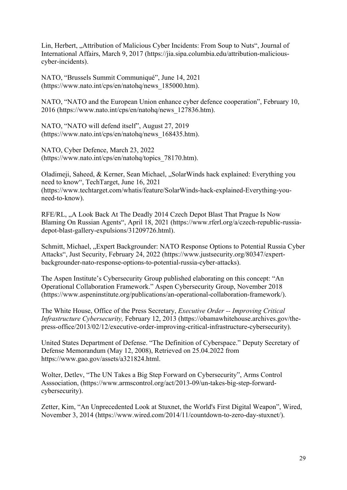Lin, Herbert, "Attribution of Malicious Cyber Incidents: From Soup to Nuts", Journal of International Affairs, March 9, 2017 (https://jia.sipa.columbia.edu/attribution-maliciouscyber-incidents).

NATO, "Brussels Summit Communiqué", June 14, 2021 (https://www.nato.int/cps/en/natohq/news\_185000.htm).

NATO, "NATO and the European Union enhance cyber defence cooperation", February 10, 2016 (https://www.nato.int/cps/en/natohq/news\_127836.htm).

NATO, "NATO will defend itself", August 27, 2019 (https://www.nato.int/cps/en/natohq/news\_168435.htm).

NATO, Cyber Defence, March 23, 2022 (https://www.nato.int/cps/en/natohq/topics\_78170.htm).

Oladimeji, Saheed, & Kerner, Sean Michael, "SolarWinds hack explained: Everything you need to know", TechTarget, June 16, 2021 (https://www.techtarget.com/whatis/feature/SolarWinds-hack-explained-Everything-youneed-to-know).

RFE/RL, "A Look Back At The Deadly 2014 Czech Depot Blast That Prague Is Now Blaming On Russian Agents", April 18, 2021 (https://www.rferl.org/a/czech-republic-russiadepot-blast-gallery-expulsions/31209726.html).

Schmitt, Michael, "Expert Backgrounder: NATO Response Options to Potential Russia Cyber Attacks", Just Security, February 24, 2022 (https://www.justsecurity.org/80347/expertbackgrounder-nato-response-options-to-potential-russia-cyber-attacks).

The Aspen Institute's Cybersecurity Group published elaborating on this concept: "An Operational Collaboration Framework." Aspen Cybersecurity Group, November 2018 (https://www.aspeninstitute.org/publications/an-operational-collaboration-framework/).

The White House, Office of the Press Secretary, *Executive Order -- Improving Critical Infrastructure Cybersecurity,* February 12, 2013 (https://obamawhitehouse.archives.gov/thepress-office/2013/02/12/executive-order-improving-critical-infrastructure-cybersecurity).

United States Department of Defense. "The Definition of Cyberspace." Deputy Secretary of Defense Memorandum (May 12, 2008), Retrieved on 25.04.2022 from https://www.gao.gov/assets/a321824.html.

Wolter, Detlev, "The UN Takes a Big Step Forward on Cybersecurity", Arms Control Asssociation, (https://www.armscontrol.org/act/2013-09/un-takes-big-step-forwardcybersecurity).

Zetter, Kim, "An Unprecedented Look at Stuxnet, the World's First Digital Weapon", Wired, November 3, 2014 (https://www.wired.com/2014/11/countdown-to-zero-day-stuxnet/).